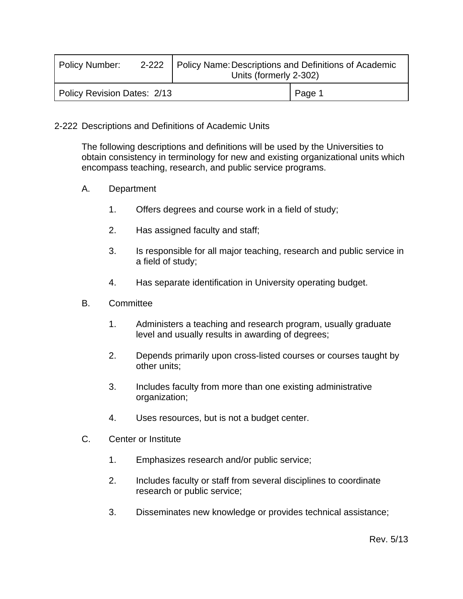| <b>Policy Number:</b>       |  | 2-222   Policy Name: Descriptions and Definitions of Academic<br>Units (formerly 2-302) |        |
|-----------------------------|--|-----------------------------------------------------------------------------------------|--------|
| Policy Revision Dates: 2/13 |  |                                                                                         | Page 1 |

## 2-222 Descriptions and Definitions of Academic Units

The following descriptions and definitions will be used by the Universities to obtain consistency in terminology for new and existing organizational units which encompass teaching, research, and public service programs.

- A. Department
	- 1. Offers degrees and course work in a field of study;
	- 2. Has assigned faculty and staff;
	- 3. Is responsible for all major teaching, research and public service in a field of study;
	- 4. Has separate identification in University operating budget.
- B. Committee
	- 1. Administers a teaching and research program, usually graduate level and usually results in awarding of degrees;
	- 2. Depends primarily upon cross-listed courses or courses taught by other units;
	- 3. Includes faculty from more than one existing administrative organization;
	- 4. Uses resources, but is not a budget center.
- C. Center or Institute
	- 1. Emphasizes research and/or public service;
	- 2. Includes faculty or staff from several disciplines to coordinate research or public service;
	- 3. Disseminates new knowledge or provides technical assistance;